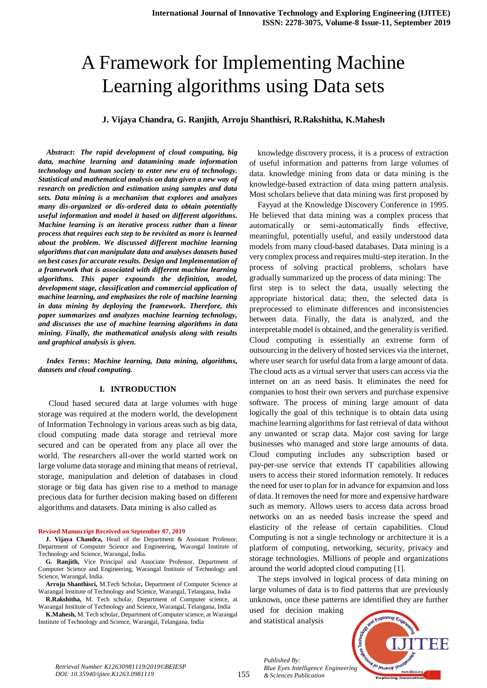# A Framework for Implementing Machine Learning algorithms using Data sets

**J. Vijaya Chandra, G. Ranjith, Arroju Shanthisri, R.Rakshitha, K.Mahesh**

*Abstract***:** *The rapid development of cloud computing, big data, machine learning and datamining made information technology and human society to enter new era of technology. Statistical and mathematical analysis on data given a new way of research on prediction and estimation using samples and data sets. Data mining is a mechanism that explores and analyzes many dis-organized or dis-ordered data to obtain potentially useful information and model it based on different algorithms. Machine learning is an iterative process rather than a linear process that requires each step to be revisited as more is learned about the problem. We discussed different machine learning algorithms that can manipulate data and analyses datasets based on best cases for accurate results. Design and Implementation of a framework that is associated with different machine learning algorithms. This paper expounds the definition, model, development stage, classification and commercial application of machine learning, and emphasizes the role of machine learning in data mining by deploying the framework. Therefore, this paper summarizes and analyzes machine learning technology, and discusses the use of machine learning algorithms in data mining. Finally, the mathematical analysis along with results and graphical analysis is given.* 

*Index Terms***:** *Machine learning, Data mining, algorithms, datasets and cloud computing.*

### **I. INTRODUCTION**

Cloud based secured data at large volumes with huge storage was required at the modern world, the development of Information Technology in various areas such as big data, cloud computing made data storage and retrieval more secured and can be operated from any place all over the world. The researchers all-over the world started work on large volume data storage and mining that means of retrieval, storage, manipulation and deletion of databases in cloud storage or big data has given rise to a method to manage precious data for further decision making based on different algorithms and datasets. Data mining is also called as

#### **Revised Manuscript Received on September 07, 2019**

**J. Vijaya Chandra,** Head of the Department & Assistant Professor, Department of Computer Science and Engineering, Warangal Institute of Technology and Science, Warangal, India.

**G. Ranjith,** Vice Principal and Associate Professor, Department of Computer Science and Engineering, Warangal Institute of Technology and Science, Warangal, India.

**Arroju Shanthisri,** M.Tech Scholar**,** Department of Computer Science at Warangal Institute of Technology and Science, Warangal, Telangana, India

**R.Rakshitha,** M. Tech scholar, Department of Computer science, at Warangal Institute of Technology and Science, Warangal, Telangana, India

**K.Mahesh,** M. Tech scholar, Department of Computer science, at Warangal Institute of Technology and Science, Warangal, Telangana, India

knowledge discovery process, it is a process of extraction of useful information and patterns from large volumes of data. knowledge mining from data or data mining is the knowledge-based extraction of data using pattern analysis. Most scholars believe that data mining was first proposed by

Fayyad at the Knowledge Discovery Conference in 1995. He believed that data mining was a complex process that automatically or semi-automatically finds effective, meaningful, potentially useful, and easily understood data models from many cloud-based databases. Data mining is a very complex process and requires multi-step iteration. In the process of solving practical problems, scholars have gradually summarized up the process of data mining: The first step is to select the data, usually selecting the appropriate historical data; then, the selected data is preprocessed to eliminate differences and inconsistencies between data. Finally, the data is analyzed, and the interpretable model is obtained, and the generality is verified. Cloud computing is essentially an extreme form of outsourcing in the delivery of hosted services via the internet, where user search for useful data from a large amount of data. The cloud acts as a virtual server that users can access via the internet on an as need basis. It eliminates the need for companies to host their own servers and purchase expensive software. The process of mining large amount of data logically the goal of this technique is to obtain data using machine learning algorithms for fast retrieval of data without any unwanted or scrap data. Major cost saving for large businesses who managed and store large amounts of data. Cloud computing includes any subscription based or pay-per-use service that extends IT capabilities allowing users to access their stored information remotely. It reduces the need for user to plan for in advance for expansion and loss of data. It removes the need for more and expensive hardware such as memory. Allows users to access data across broad networks on an as needed basis increase the speed and elasticity of the release of certain capabilities. Cloud Computing is not a single technology or architecture it is a platform of computing, networking, security, privacy and storage technologies. Millions of people and organizations around the world adopted cloud computing [1].

The steps involved in logical process of data mining on large volumes of data is to find patterns that are previously unknown, once these patterns are identified they are further

used for decision making and statistical analysis

*& Sciences Publication* 

*Published By:*



*Retrieval Number K12630981119/2019©BEIESP DOI: 10.35940/ijitee.K1263.0981119*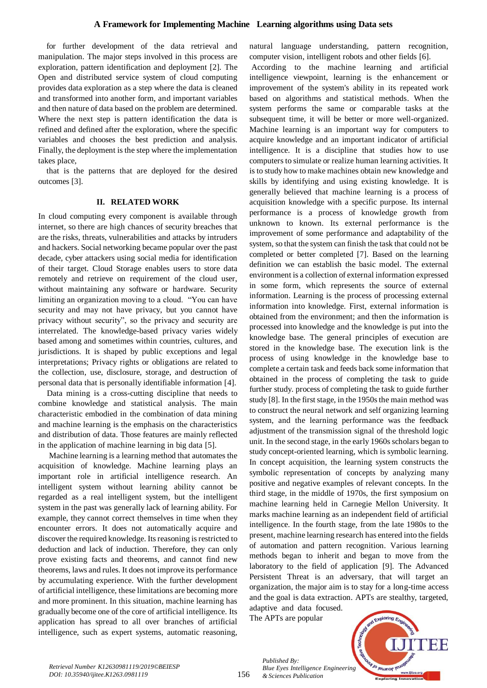#### **A Framework for Implementing Machine Learning algorithms using Data sets**

for further development of the data retrieval and manipulation. The major steps involved in this process are exploration, pattern identification and deployment [2]. The Open and distributed service system of cloud computing provides data exploration as a step where the data is cleaned and transformed into another form, and important variables and then nature of data based on the problem are determined. Where the next step is pattern identification the data is refined and defined after the exploration, where the specific variables and chooses the best prediction and analysis. Finally, the deployment is the step where the implementation takes place,

that is the patterns that are deployed for the desired outcomes [3].

#### **II. RELATED WORK**

In cloud computing every component is available through internet, so there are high chances of security breaches that are the risks, threats, vulnerabilities and attacks by intruders and hackers. Social networking became popular over the past decade, cyber attackers using social media for identification of their target. Cloud Storage enables users to store data remotely and retrieve on requirement of the cloud user, without maintaining any software or hardware. Security limiting an organization moving to a cloud. "You can have security and may not have privacy, but you cannot have privacy without security", so the privacy and security are interrelated. The knowledge-based privacy varies widely based among and sometimes within countries, cultures, and jurisdictions. It is shaped by public exceptions and legal interpretations; Privacy rights or obligations are related to the collection, use, disclosure, storage, and destruction of personal data that is personally identifiable information [4].

 Data mining is a cross-cutting discipline that needs to combine knowledge and statistical analysis. The main characteristic embodied in the combination of data mining and machine learning is the emphasis on the characteristics and distribution of data. Those features are mainly reflected in the application of machine learning in big data [5].

 Machine learning is a learning method that automates the acquisition of knowledge. Machine learning plays an important role in artificial intelligence research. An intelligent system without learning ability cannot be regarded as a real intelligent system, but the intelligent system in the past was generally lack of learning ability. For example, they cannot correct themselves in time when they encounter errors. It does not automatically acquire and discover the required knowledge. Its reasoning is restricted to deduction and lack of induction. Therefore, they can only prove existing facts and theorems, and cannot find new theorems, laws and rules. It does not improve its performance by accumulating experience. With the further development of artificial intelligence, these limitations are becoming more and more prominent. In this situation, machine learning has gradually become one of the core of artificial intelligence. Its application has spread to all over branches of artificial intelligence, such as expert systems, automatic reasoning,

natural language understanding, pattern recognition, computer vision, intelligent robots and other fields [6].

According to the machine learning and artificial intelligence viewpoint, learning is the enhancement or improvement of the system's ability in its repeated work based on algorithms and statistical methods. When the system performs the same or comparable tasks at the subsequent time, it will be better or more well-organized. Machine learning is an important way for computers to acquire knowledge and an important indicator of artificial intelligence. It is a discipline that studies how to use computers to simulate or realize human learning activities. It is to study how to make machines obtain new knowledge and skills by identifying and using existing knowledge. It is generally believed that machine learning is a process of acquisition knowledge with a specific purpose. Its internal performance is a process of knowledge growth from unknown to known. Its external performance is the improvement of some performance and adaptability of the system, so that the system can finish the task that could not be completed or better completed [7]. Based on the learning definition we can establish the basic model. The external environment is a collection of external information expressed in some form, which represents the source of external information. Learning is the process of processing external information into knowledge. First, external information is obtained from the environment; and then the information is processed into knowledge and the knowledge is put into the knowledge base. The general principles of execution are stored in the knowledge base. The execution link is the process of using knowledge in the knowledge base to complete a certain task and feeds back some information that obtained in the process of completing the task to guide further study. process of completing the task to guide further study [8]. In the first stage, in the 1950s the main method was to construct the neural network and self organizing learning system, and the learning performance was the feedback adjustment of the transmission signal of the threshold logic unit. In the second stage, in the early 1960s scholars began to study concept-oriented learning, which is symbolic learning. In concept acquisition, the learning system constructs the symbolic representation of concepts by analyzing many positive and negative examples of relevant concepts. In the third stage, in the middle of 1970s, the first symposium on machine learning held in Carnegie Mellon University. It marks machine learning as an independent field of artificial intelligence. In the fourth stage, from the late 1980s to the present, machine learning research has entered into the fields of automation and pattern recognition. Various learning methods began to inherit and began to move from the laboratory to the field of application [9]. The Advanced Persistent Threat is an adversary, that will target an organization, the major aim is to stay for a long-time access and the goal is data extraction. APTs are stealthy, targeted, adaptive and data focused.

The APTs are popular

*Published By: Blue Eyes Intelligence Engineering & Sciences Publication* 

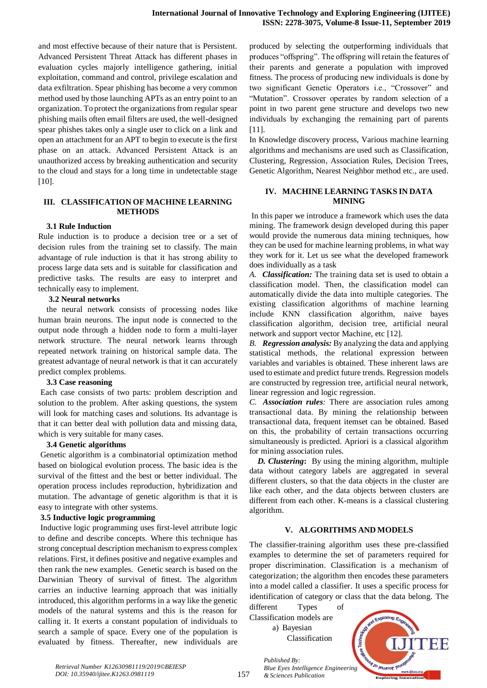and most effective because of their nature that is Persistent. Advanced Persistent Threat Attack has different phases in evaluation cycles majorly intelligence gathering, initial exploitation, command and control, privilege escalation and data exfiltration. Spear phishing has become a very common method used by those launching APTs as an entry point to an organization. To protect the organizations from regular spear phishing mails often email filters are used, the well-designed spear phishes takes only a single user to click on a link and open an attachment for an APT to begin to execute is the first phase on an attack. Advanced Persistent Attack is an unauthorized access by breaking authentication and security to the cloud and stays for a long time in undetectable stage [10].

#### **III. CLASSIFICATION OF MACHINE LEARNING METHODS**

#### **3.1 Rule Induction**

Rule induction is to produce a decision tree or a set of decision rules from the training set to classify. The main advantage of rule induction is that it has strong ability to process large data sets and is suitable for classification and predictive tasks. The results are easy to interpret and technically easy to implement.

### **3.2 Neural networks**

the neural network consists of processing nodes like human brain neurons. The input node is connected to the output node through a hidden node to form a multi-layer network structure. The neural network learns through repeated network training on historical sample data. The greatest advantage of neural network is that it can accurately predict complex problems.

#### **3.3 Case reasoning**

Each case consists of two parts: problem description and solution to the problem. After asking questions, the system will look for matching cases and solutions. Its advantage is that it can better deal with pollution data and missing data, which is very suitable for many cases.

#### **3.4 Genetic algorithms**

Genetic algorithm is a combinatorial optimization method based on biological evolution process. The basic idea is the survival of the fittest and the best or better individual. The operation process includes reproduction, hybridization and mutation. The advantage of genetic algorithm is that it is easy to integrate with other systems.

#### **3.5 Inductive logic programming**

Inductive logic programming uses first-level attribute logic to define and describe concepts. Where this technique has strong conceptual description mechanism to express complex relations. First, it defines positive and negative examples and then rank the new examples. Genetic search is based on the Darwinian Theory of survival of fittest. The algorithm carries an inductive learning approach that was initially introduced, this algorithm performs in a way like the genetic models of the natural systems and this is the reason for calling it. It exerts a constant population of individuals to search a sample of space. Every one of the population is evaluated by fitness. Thereafter, new individuals are produced by selecting the outperforming individuals that produces "offspring". The offspring will retain the features of their parents and generate a population with improved fitness. The process of producing new individuals is done by two significant Genetic Operators i.e., "Crossover" and "Mutation". Crossover operates by random selection of a point in two parent gene structure and develops two new individuals by exchanging the remaining part of parents [11].

In Knowledge discovery process, Various machine learning algorithms and mechanisms are used such as Classification, Clustering, Regression, Association Rules, Decision Trees, Genetic Algorithm, Nearest Neighbor method etc., are used.

#### **IV. MACHINE LEARNING TASKS IN DATA MINING**

In this paper we introduce a framework which uses the data mining. The framework design developed during this paper would provide the numerous data mining techniques, how they can be used for machine learning problems, in what way they work for it. Let us see what the developed framework does individually as a task

*A. Classification:* The training data set is used to obtain a classification model. Then, the classification model can automatically divide the data into multiple categories. The existing classification algorithms of machine learning include KNN classification algorithm, naive bayes classification algorithm, decision tree, artificial neural network and support vector Machine, etc [12].

*B. Regression analysis:* By analyzing the data and applying statistical methods, the relational expression between variables and variables is obtained. These inherent laws are used to estimate and predict future trends. Regression models are constructed by regression tree, artificial neural network, linear regression and logic regression.

*C. Association rules:* There are association rules among transactional data. By mining the relationship between transactional data, frequent itemset can be obtained. Based on this, the probability of certain transactions occurring simultaneously is predicted. Apriori is a classical algorithm for mining association rules.

*D. Clustering***:** By using the mining algorithm, multiple data without category labels are aggregated in several different clusters, so that the data objects in the cluster are like each other, and the data objects between clusters are different from each other. K-means is a classical clustering algorithm.

#### **V. ALGORITHMS AND MODELS**

The classifier-training algorithm uses these pre-classified examples to determine the set of parameters required for proper discrimination. Classification is a mechanism of categorization; the algorithm then encodes these parameters into a model called a classifier. It uses a specific process for identification of category or class that the data belong. The

different Types of Classification models are a) Bayesian Classification

*& Sciences Publication* 

*Published By:*

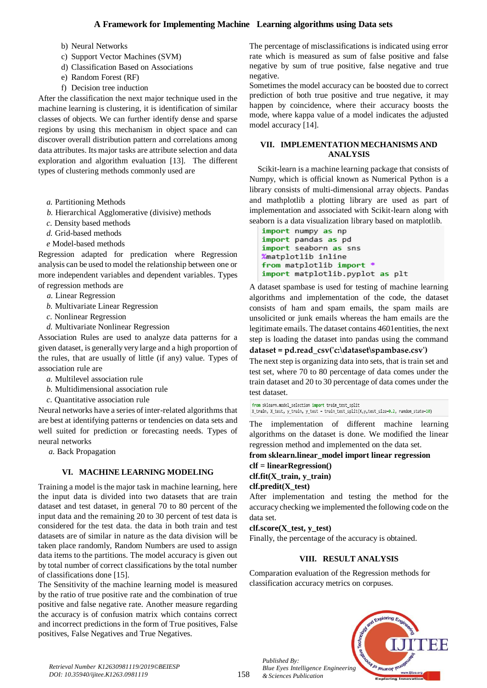# **A Framework for Implementing Machine Learning algorithms using Data sets**

- b) Neural Networks
- c) Support Vector Machines (SVM)
- d) Classification Based on Associations
- e) Random Forest (RF)
- f) Decision tree induction

After the classification the next major technique used in the machine learning is clustering, it is identification of similar classes of objects. We can further identify dense and sparse regions by using this mechanism in object space and can discover overall distribution pattern and correlations among data attributes. Its major tasks are attribute selection and data exploration and algorithm evaluation [13]. The different types of clustering methods commonly used are

- *a.* Partitioning Methods
- *b.* Hierarchical Agglomerative (divisive) methods
- *c.* Density based methods
- *d.* Grid-based methods
- *e* Model-based methods

Regression adapted for predication where Regression analysis can be used to model the relationship between one or more independent variables and dependent variables. Types of regression methods are

- *a.* Linear Regression
- *b.* Multivariate Linear Regression
- *c.* Nonlinear Regression
- *d.* Multivariate Nonlinear Regression

Association Rules are used to analyze data patterns for a given dataset, is generally very large and a high proportion of the rules, that are usually of little (if any) value. Types of association rule are

- *a.* Multilevel association rule
- *b.* Multidimensional association rule
- *c.* Quantitative association rule

Neural networks have a series of inter-related algorithms that are best at identifying patterns or tendencies on data sets and well suited for prediction or forecasting needs. Types of neural networks

*a.* Back Propagation

#### **VI. MACHINE LEARNING MODELING**

Training a model is the major task in machine learning, here the input data is divided into two datasets that are train dataset and test dataset, in general 70 to 80 percent of the input data and the remaining 20 to 30 percent of test data is considered for the test data. the data in both train and test datasets are of similar in nature as the data division will be taken place randomly, Random Numbers are used to assign data items to the partitions. The model accuracy is given out by total number of correct classifications by the total number of classifications done [15].

The Sensitivity of the machine learning model is measured by the ratio of true positive rate and the combination of true positive and false negative rate. Another measure regarding the accuracy is of confusion matrix which contains correct and incorrect predictions in the form of True positives, False positives, False Negatives and True Negatives.

The percentage of misclassifications is indicated using error rate which is measured as sum of false positive and false negative by sum of true positive, false negative and true negative.

Sometimes the model accuracy can be boosted due to correct prediction of both true positive and true negative, it may happen by coincidence, where their accuracy boosts the mode, where kappa value of a model indicates the adjusted model accuracy [14].

### **VII. IMPLEMENTATION MECHANISMS AND ANALYSIS**

Scikit-learn is a machine learning package that consists of Numpy, which is official known as Numerical Python is a library consists of multi-dimensional array objects. Pandas and mathplotlib a plotting library are used as part of implementation and associated with Scikit-learn along with seaborn is a data visualization library based on matplotlib.

```
import numpy as np
import pandas as pd
import seaborn as sns
%matplotlib inline
from matplotlib import *
import matplotlib.pyplot as plt
```
A dataset spambase is used for testing of machine learning algorithms and implementation of the code, the dataset consists of ham and spam emails, the spam mails are unsolicited or junk emails whereas the ham emails are the legitimate emails. The dataset contains 4601entities, the next step is loading the dataset into pandas using the command

#### **dataset = pd.read\_csv('c:\dataset\spambase.csv')**

The next step is organizing data into sets, that is train set and test set, where 70 to 80 percentage of data comes under the train dataset and 20 to 30 percentage of data comes under the test dataset.

from sklearn.model selection import train test split X\_train, X\_test, y\_train, y\_test = train\_test\_split(X,y,test\_size=0.2, random\_state=10)

The implementation of different machine learning algorithms on the dataset is done. We modified the linear regression method and implemented on the data set.

#### **from sklearn.linear\_model import linear regression**

**clf = linearRegression()**

# **clf.fit(X\_train, y\_train)**

# **clf.predit(X\_test)**

*Published By:*

*& Sciences Publication* 

After implementation and testing the method for the accuracy checking we implemented the following code on the data set.

#### **clf.score(X\_test, y\_test)**

Finally, the percentage of the accuracy is obtained.

# **VIII. RESULT ANALYSIS**

Comparation evaluation of the Regression methods for classification accuracy metrics on corpuses.



*Retrieval Number K12630981119/2019©BEIESP DOI: 10.35940/ijitee.K1263.0981119*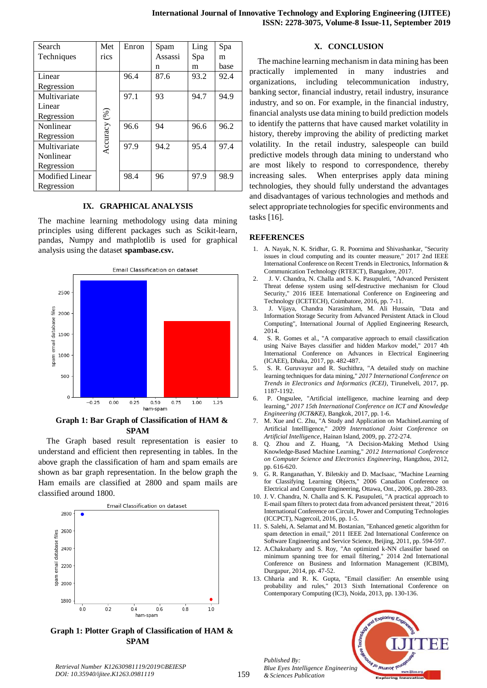| Search          | Met          | Enron | Spam    | Ling | Spa  |
|-----------------|--------------|-------|---------|------|------|
| Techniques      | rics         |       | Assassi | Spa  | m    |
|                 |              |       | n       | m    | base |
| Linear          |              | 96.4  | 87.6    | 93.2 | 92.4 |
| Regression      |              |       |         |      |      |
| Multivariate    |              | 97.1  | 93      | 94.7 | 94.9 |
| Linear          |              |       |         |      |      |
| Regression      |              |       |         |      |      |
| Nonlinear       |              | 96.6  | 94      | 96.6 | 96.2 |
| Regression      |              |       |         |      |      |
| Multivariate    | Accuracy (%) | 97.9  | 94.2    | 95.4 | 97.4 |
| Nonlinear       |              |       |         |      |      |
| Regression      |              |       |         |      |      |
| Modified Linear |              | 98.4  | 96      | 97.9 | 98.9 |
| Regression      |              |       |         |      |      |

#### **IX. GRAPHICAL ANALYSIS**

The machine learning methodology using data mining principles using different packages such as Scikit-learn, pandas, Numpy and mathplotlib is used for graphical analysis using the dataset **spambase.csv.**



### **Graph 1: Bar Graph of Classification of HAM & SPAM**

The Graph based result representation is easier to understand and efficient then representing in tables. In the above graph the classification of ham and spam emails are shown as bar graph representation. In the below graph the Ham emails are classified at 2800 and spam mails are classified around 1800.



**Graph 1: Plotter Graph of Classification of HAM & SPAM**

#### **X. CONCLUSION**

The machine learning mechanism in data mining has been practically implemented in many industries and organizations, including telecommunication industry, banking sector, financial industry, retail industry, insurance industry, and so on. For example, in the financial industry, financial analysts use data mining to build prediction models to identify the patterns that have caused market volatility in history, thereby improving the ability of predicting market volatility. In the retail industry, salespeople can build predictive models through data mining to understand who are most likely to respond to correspondence, thereby increasing sales. When enterprises apply data mining technologies, they should fully understand the advantages and disadvantages of various technologies and methods and select appropriate technologies for specific environments and tasks [16].

#### **REFERENCES**

- 1. A. Nayak, N. K. Sridhar, G. R. Poornima and Shivashankar, "Security issues in cloud computing and its counter measure," 2017 2nd IEEE International Conference on Recent Trends in Electronics, Information & Communication Technology (RTEICT), Bangalore, 2017.
- 2. J. V. Chandra, N. Challa and S. K. Pasupuleti, "Advanced Persistent Threat defense system using self-destructive mechanism for Cloud Security," 2016 IEEE International Conference on Engineering and Technology (ICETECH), Coimbatore, 2016, pp. 7-11.
- 3. J. Vijaya, Chandra Narasimham, M. Ali Hussain, "Data and Information Storage Security from Advanced Persistent Attack in Cloud Computing", International Journal of Applied Engineering Research, 2014.
- 4. S. R. Gomes et al., "A comparative approach to email classification using Naive Bayes classifier and hidden Markov model," 2017 4th International Conference on Advances in Electrical Engineering (ICAEE), Dhaka, 2017, pp. 482-487.
- 5. S. R. Guruvayur and R. Suchithra, "A detailed study on machine learning techniques for data mining," *2017 International Conference on Trends in Electronics and Informatics (ICEI)*, Tirunelveli, 2017, pp. 1187-1192.
- 6. P. Ongsulee, "Artificial intelligence, machine learning and deep learning," *2017 15th International Conference on ICT and Knowledge Engineering (ICT&KE)*, Bangkok, 2017, pp. 1-6.
- 7. M. Xue and C. Zhu, "A Study and Application on MachineLearning of Artificial Intellligence," *2009 International Joint Conference on Artificial Intelligence*, Hainan Island, 2009, pp. 272-274.
- 8. Q. Zhou and Z. Huang, "A Decision-Making Method Using Knowledge-Based Machine Learning," *2012 International Conference on Computer Science and Electronics Engineering*, Hangzhou, 2012, pp. 616-620.
- 9. G. R. Ranganathan, Y. Biletskiy and D. MacIsaac, "Machine Learning for Classifying Learning Objects," 2006 Canadian Conference on Electrical and Computer Engineering, Ottawa, Ont., 2006, pp. 280-283.
- 10. J. V. Chandra, N. Challa and S. K. Pasupuleti, "A practical approach to E-mail spam filters to protect data from advanced persistent threat," 2016 International Conference on Circuit, Power and Computing Technologies (ICCPCT), Nagercoil, 2016, pp. 1-5.
- 11. S. Salehi, A. Selamat and M. Bostanian, "Enhanced genetic algorithm for spam detection in email," 2011 IEEE 2nd International Conference on Software Engineering and Service Science, Beijing, 2011, pp. 594-597.
- 12. A.Chakrabarty and S. Roy, "An optimized k-NN classifier based on minimum spanning tree for email filtering," 2014 2nd International Conference on Business and Information Management (ICBIM), Durgapur, 2014, pp. 47-52.
- 13. Chharia and R. K. Gupta, "Email classifier: An ensemble using probability and rules," 2013 Sixth International Conference on Contemporary Computing (IC3), Noida, 2013, pp. 130-136.



*Retrieval Number K12630981119/2019©BEIESP DOI: 10.35940/ijitee.K1263.0981119*

*Published By:*

*& Sciences Publication*